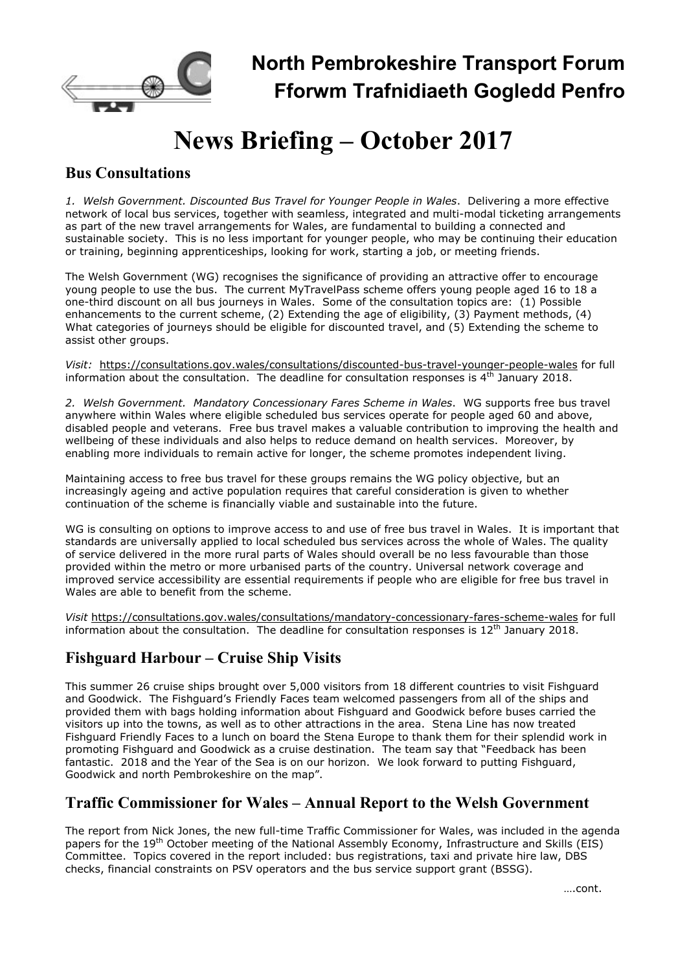

North Pembrokeshire Transport Forum Fforwm Trafnidiaeth Gogledd Penfro

# News Briefing – October 2017

#### Bus Consultations

1. Welsh Government. Discounted Bus Travel for Younger People in Wales. Delivering a more effective network of local bus services, together with seamless, integrated and multi-modal ticketing arrangements as part of the new travel arrangements for Wales, are fundamental to building a connected and sustainable society. This is no less important for younger people, who may be continuing their education or training, beginning apprenticeships, looking for work, starting a job, or meeting friends.

The Welsh Government (WG) recognises the significance of providing an attractive offer to encourage young people to use the bus. The current MyTravelPass scheme offers young people aged 16 to 18 a one-third discount on all bus journeys in Wales. Some of the consultation topics are: (1) Possible enhancements to the current scheme, (2) Extending the age of eligibility, (3) Payment methods, (4) What categories of journeys should be eligible for discounted travel, and (5) Extending the scheme to assist other groups.

Visit: https://consultations.gov.wales/consultations/discounted-bus-travel-younger-people-wales for full information about the consultation. The deadline for consultation responses is  $4<sup>th</sup>$  January 2018.

2. Welsh Government. Mandatory Concessionary Fares Scheme in Wales. WG supports free bus travel anywhere within Wales where eligible scheduled bus services operate for people aged 60 and above, disabled people and veterans. Free bus travel makes a valuable contribution to improving the health and wellbeing of these individuals and also helps to reduce demand on health services. Moreover, by enabling more individuals to remain active for longer, the scheme promotes independent living.

Maintaining access to free bus travel for these groups remains the WG policy objective, but an increasingly ageing and active population requires that careful consideration is given to whether continuation of the scheme is financially viable and sustainable into the future.

WG is consulting on options to improve access to and use of free bus travel in Wales. It is important that standards are universally applied to local scheduled bus services across the whole of Wales. The quality of service delivered in the more rural parts of Wales should overall be no less favourable than those provided within the metro or more urbanised parts of the country. Universal network coverage and improved service accessibility are essential requirements if people who are eligible for free bus travel in Wales are able to benefit from the scheme.

Visit https://consultations.gov.wales/consultations/mandatory-concessionary-fares-scheme-wales for full information about the consultation. The deadline for consultation responses is  $12<sup>th</sup>$  January 2018.

## Fishguard Harbour – Cruise Ship Visits

This summer 26 cruise ships brought over 5,000 visitors from 18 different countries to visit Fishguard and Goodwick. The Fishguard's Friendly Faces team welcomed passengers from all of the ships and provided them with bags holding information about Fishguard and Goodwick before buses carried the visitors up into the towns, as well as to other attractions in the area. Stena Line has now treated Fishguard Friendly Faces to a lunch on board the Stena Europe to thank them for their splendid work in promoting Fishguard and Goodwick as a cruise destination. The team say that "Feedback has been fantastic. 2018 and the Year of the Sea is on our horizon. We look forward to putting Fishguard, Goodwick and north Pembrokeshire on the map".

## Traffic Commissioner for Wales – Annual Report to the Welsh Government

The report from Nick Jones, the new full-time Traffic Commissioner for Wales, was included in the agenda papers for the 19<sup>th</sup> October meeting of the National Assembly Economy, Infrastructure and Skills (EIS) Committee. Topics covered in the report included: bus registrations, taxi and private hire law, DBS checks, financial constraints on PSV operators and the bus service support grant (BSSG).

….cont.